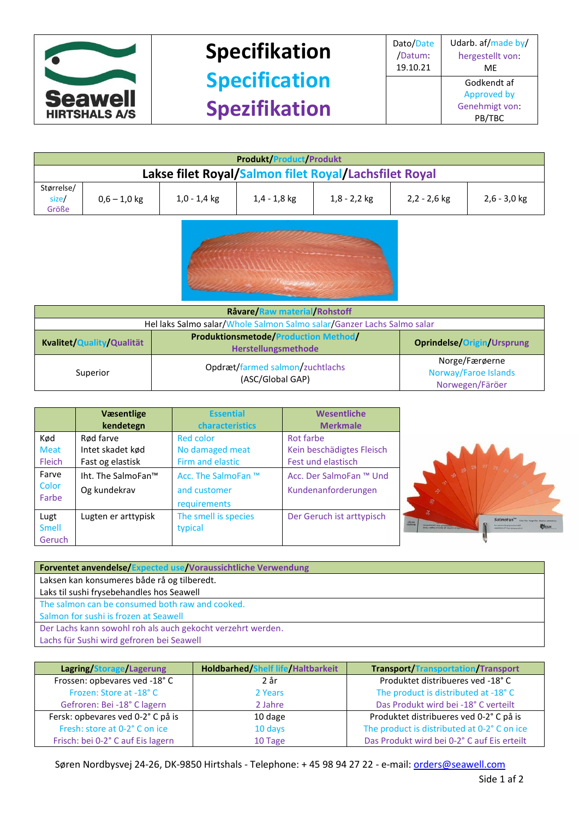

## **Specifikation Specification Spezifikation**

| <b>Produkt/Product/Produkt</b>                        |                |                |                |                |                |                |
|-------------------------------------------------------|----------------|----------------|----------------|----------------|----------------|----------------|
| Lakse filet Royal/Salmon filet Royal/Lachsfilet Royal |                |                |                |                |                |                |
| Størrelse/<br>size/<br>Größe                          | $0.6 - 1.0$ kg | $1,0 - 1,4$ kg | $1,4 - 1,8$ kg | $1,8 - 2,2$ kg | $2,2 - 2,6$ kg | $2,6 - 3,0$ kg |



| Råvare/Raw material/Rohstoff                                                                           |                                                     |                                                           |  |
|--------------------------------------------------------------------------------------------------------|-----------------------------------------------------|-----------------------------------------------------------|--|
| Hel laks Salmo salar/Whole Salmon Salmo salar/Ganzer Lachs Salmo salar                                 |                                                     |                                                           |  |
| <b>Produktionsmetode/Production Method/</b><br>Kvalitet/Quality/Qualität<br><b>Herstellungsmethode</b> |                                                     | <b>Oprindelse/Origin/Ursprung</b>                         |  |
| Superior                                                                                               | Opdræt/farmed salmon/zuchtlachs<br>(ASC/Global GAP) | Norge/Færøerne<br>Norway/Faroe Islands<br>Norwegen/Färöer |  |

|               | Væsentlige<br>kendetegn | <b>Essential</b><br>characteristics | Wesentliche<br><b>Merkmale</b> |
|---------------|-------------------------|-------------------------------------|--------------------------------|
| Kød           | Rød farve               | <b>Red color</b>                    | Rot farbe                      |
| <b>Meat</b>   | Intet skadet kød        | No damaged meat                     | Kein beschädigtes Fleisch      |
| <b>Fleich</b> | Fast og elastisk        | Firm and elastic                    | Fest und elastisch             |
| Farve         | Iht. The SalmoFan™      | Acc. The SalmoFan ™                 | Acc. Der SalmoFan ™ Und        |
| Color         | Og kundekrav            | and customer                        | Kundenanforderungen            |
| Farbe         |                         | requirements                        |                                |
| Lugt          | Lugten er arttypisk     | The smell is species                | Der Geruch ist arttypisch      |
| <b>Smell</b>  |                         | typical                             |                                |
| Geruch        |                         |                                     |                                |



| <b>Forventet anvendelse/Expected use/Voraussichtliche Verwendung</b> |  |  |
|----------------------------------------------------------------------|--|--|
| Laksen kan konsumeres både rå og tilberedt.                          |  |  |
| Laks til sushi frysebehandles hos Seawell                            |  |  |
| The salmon can be consumed both raw and cooked.                      |  |  |
| Salmon for sushi is frozen at Seawell                                |  |  |
| Der Lachs kann sowohl roh als auch gekocht verzehrt werden.          |  |  |
| Lachs für Sushi wird gefroren bei Seawell                            |  |  |

| Lagring/Storage/Lagerung          | <b>Holdbarhed/Shelf life/Haltbarkeit</b> | <b>Transport/Transportation/Transport</b>   |
|-----------------------------------|------------------------------------------|---------------------------------------------|
| Frossen: opbevares ved -18° C     | 2 år                                     | Produktet distribueres ved -18°C            |
| Frozen: Store at -18°C            | 2 Years                                  | The product is distributed at -18° C        |
| Gefroren: Bei -18° C lagern       | 2 Jahre                                  | Das Produkt wird bei -18° C verteilt        |
| Fersk: opbevares ved 0-2° C på is | 10 dage                                  | Produktet distribueres ved 0-2° C på is     |
| Fresh: store at 0-2° C on ice     | 10 days                                  | The product is distributed at 0-2° C on ice |
| Frisch: bei 0-2° C auf Eis lagern | 10 Tage                                  | Das Produkt wird bei 0-2°C auf Eis erteilt  |

Søren Nordbysvej 24-26, DK-9850 Hirtshals - Telephone: + 45 98 94 27 22 - e-mail[: orders@seawell.com](mailto:orders@seawell.com)